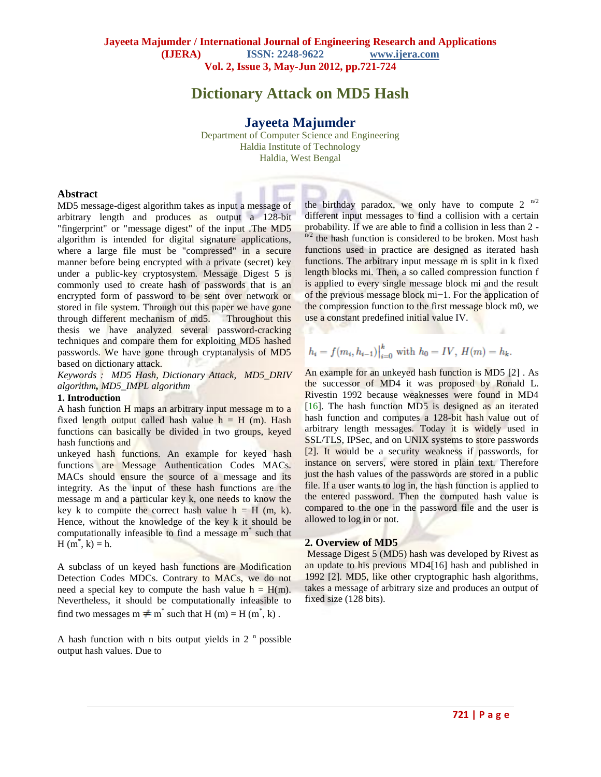# **Dictionary Attack on MD5 Hash**

# **Jayeeta Majumder**

Department of Computer Science and Engineering Haldia Institute of Technology Haldia, West Bengal

#### **Abstract**

MD5 message-digest algorithm takes as input a message of arbitrary length and produces as output a 128-bit "fingerprint" or "message digest" of the input .The MD5 algorithm is intended for digital signature applications, where a large file must be "compressed" in a secure manner before being encrypted with a private (secret) key under a public-key cryptosystem. Message Digest 5 is commonly used to create hash of passwords that is an encrypted form of password to be sent over network or stored in file system. Through out this paper we have gone through different mechanism of md5. Throughout this thesis we have analyzed several password-cracking techniques and compare them for exploiting MD5 hashed passwords. We have gone through cryptanalysis of MD5 based on dictionary attack.

*Keywords : MD5 Hash, Dictionary Attack, MD5\_DRIV algorithm, MD5\_IMPL algorithm* 

#### **1. Introduction**

A hash function H maps an arbitrary input message m to a fixed length output called hash value  $h = H$  (m). Hash functions can basically be divided in two groups, keyed hash functions and

unkeyed hash functions. An example for keyed hash functions are Message Authentication Codes MACs. MACs should ensure the source of a message and its integrity. As the input of these hash functions are the message m and a particular key k, one needs to know the key k to compute the correct hash value  $h = H(m, k)$ . Hence, without the knowledge of the key k it should be computationally infeasible to find a message m\* such that  $H(m^*, k) = h.$ 

A subclass of un keyed hash functions are Modification Detection Codes MDCs. Contrary to MACs, we do not need a special key to compute the hash value  $h = H(m)$ . Nevertheless, it should be computationally infeasible to find two messages  $m \neq m^*$  such that  $H(m) = H(m^*, k)$ .

A hash function with n bits output yields in  $2<sup>n</sup>$  possible output hash values. Due to

the birthday paradox, we only have to compute 2  $n/2$ different input messages to find a collision with a certain probability. If we are able to find a collision in less than 2  $n^{1/2}$  the hash function is considered to be broken. Most hash functions used in practice are designed as iterated hash functions. The arbitrary input message m is split in k fixed length blocks mi. Then, a so called compression function f is applied to every single message block mi and the result of the previous message block mi−1. For the application of the compression function to the first message block m0, we use a constant predefined initial value IV.

$$
h_i = f(m_i, h_{i-1})\Big|_{i=0}^k
$$
 with  $h_0 = IV$ ,  $H(m) = h_k$ .

An example for an unkeyed hash function is MD5 [2] . As the successor of MD4 it was proposed by Ronald L. Rivestin 1992 because weaknesses were found in MD4 [16]. The hash function MD5 is designed as an iterated hash function and computes a 128-bit hash value out of arbitrary length messages. Today it is widely used in SSL/TLS, IPSec, and on UNIX systems to store passwords [2]. It would be a security weakness if passwords, for instance on servers, were stored in plain text. Therefore just the hash values of the passwords are stored in a public file. If a user wants to log in, the hash function is applied to the entered password. Then the computed hash value is compared to the one in the password file and the user is allowed to log in or not.

#### **2. Overview of MD5**

Message Digest 5 (MD5) hash was developed by Rivest as an update to his previous MD4[16] hash and published in 1992 [2]. MD5, like other cryptographic hash algorithms, takes a message of arbitrary size and produces an output of fixed size (128 bits).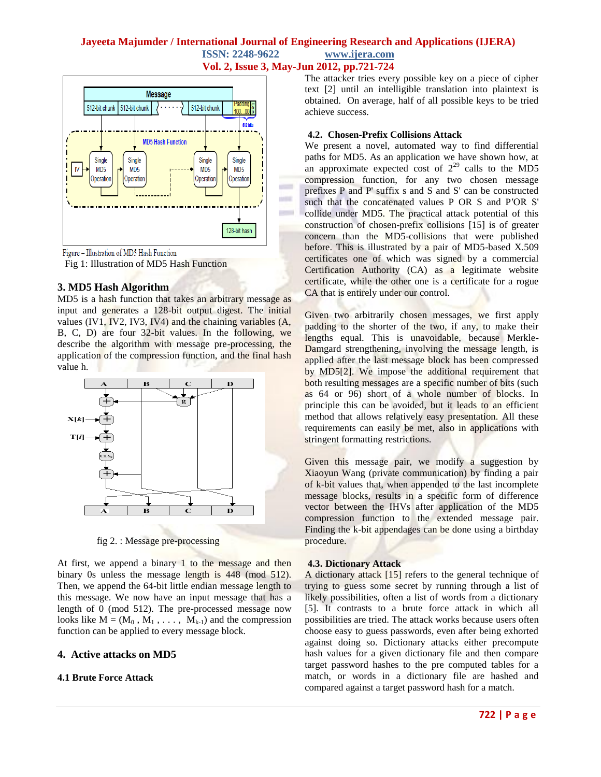## **Jayeeta Majumder / International Journal of Engineering Research and Applications (IJERA) ISSN: 2248-9622 www.ijera.com Vol. 2, Issue 3, May-Jun 2012, pp.721-724**

int  $\sim$ 



Figure - Illustration of MD5 Hash Function

Fig 1: Illustration of MD5 Hash Function

### **3. MD5 Hash Algorithm**

MD5 is a hash function that takes an arbitrary message as input and generates a 128-bit output digest. The initial values (IV1, IV2, IV3, IV4) and the chaining variables (A, B, C, D) are four 32-bit values. In the following, we describe the algorithm with message pre-processing, the application of the compression function, and the final hash value h.



fig 2. : Message pre-processing

At first, we append a binary 1 to the message and then binary 0s unless the message length is 448 (mod 512). Then, we append the 64-bit little endian message length to this message. We now have an input message that has a length of 0 (mod 512). The pre-processed message now looks like  $M = (M_0, M_1, \ldots, M_{k-1})$  and the compression function can be applied to every message block.

### **4. Active attacks on MD5**

### **4.1 Brute Force Attack**

The attacker tries every possible key on a piece of cipher text [2] until an intelligible translation into plaintext is obtained. On average, half of all possible keys to be tried achieve success.

## **4.2. Chosen-Prefix Collisions Attack**

We present a novel, automated way to find differential paths for MD5. As an application we have shown how, at an approximate expected cost of  $2^{29}$  calls to the MD5 compression function, for any two chosen message prefixes P and P' suffix s and S and S' can be constructed such that the concatenated values P OR S and P′OR S' collide under MD5. The practical attack potential of this construction of chosen-prefix collisions [15] is of greater concern than the MD5-collisions that were published before. This is illustrated by a pair of MD5-based X.509 certificates one of which was signed by a commercial Certification Authority (CA) as a legitimate website certificate, while the other one is a certificate for a rogue CA that is entirely under our control.

Given two arbitrarily chosen messages, we first apply padding to the shorter of the two, if any, to make their lengths equal. This is unavoidable, because Merkle-Damgard strengthening, involving the message length, is applied after the last message block has been compressed by MD5[2]. We impose the additional requirement that both resulting messages are a specific number of bits (such as 64 or 96) short of a whole number of blocks. In principle this can be avoided, but it leads to an efficient method that allows relatively easy presentation. All these requirements can easily be met, also in applications with stringent formatting restrictions.

Given this message pair, we modify a suggestion by Xiaoyun Wang (private communication) by finding a pair of k-bit values that, when appended to the last incomplete message blocks, results in a specific form of difference vector between the IHVs after application of the MD5 compression function to the extended message pair. Finding the k-bit appendages can be done using a birthday procedure.

### **4.3. Dictionary Attack**

A dictionary attack [15] refers to the general technique of trying to guess some secret by running through a list of likely possibilities, often a list of words from a dictionary [5]. It contrasts to a brute force attack in which all possibilities are tried. The attack works because users often choose easy to guess passwords, even after being exhorted against doing so. Dictionary attacks either precompute hash values for a given dictionary file and then compare target password hashes to the pre computed tables for a match, or words in a dictionary file are hashed and compared against a target password hash for a match.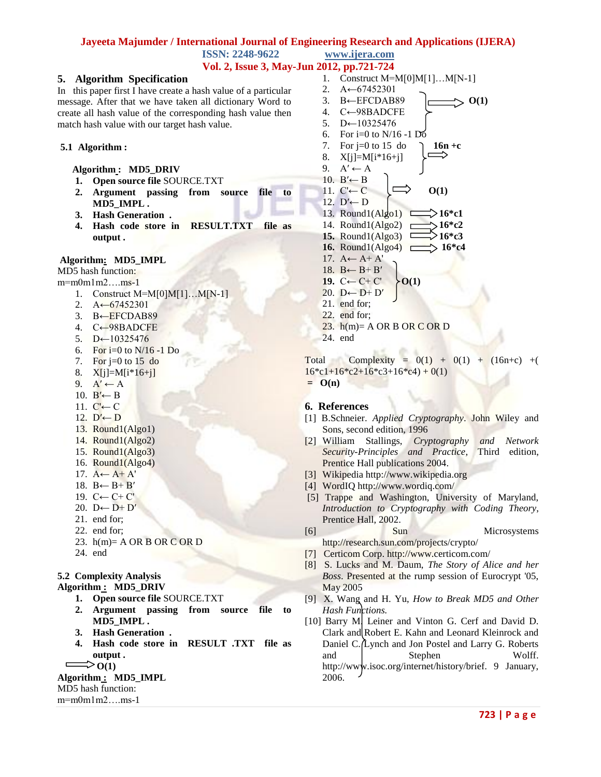# **Jayeeta Majumder / International Journal of Engineering Research and Applications (IJERA) ISSN: 2248-9622 www.ijera.com**

**Vol. 2, Issue 3, May-Jun 2012, pp.721-724**

## **5. Algorithm Specification**

In this paper first I have create a hash value of a particular message. After that we have taken all dictionary Word to create all hash value of the corresponding hash value then match hash value with our target hash value.

#### **5.1 Algorithm :**

 **Algorithm : MD5\_DRIV**

- **1. Open source file** SOURCE.TXT
- **2. Argument passing from source file to MD5\_IMPL .**
- **3. Hash Generation .**
- **4. Hash code store in RESULT.TXT file as output .**

#### **Algorithm: MD5\_IMPL**

MD5 hash function:

- m=m0m1m2….ms-1
	- 1. Construct M=M[0]M[1]…M[N-1]
	- 2.  $A \leftarrow 67452301$
	- 3. B←EFCDAB89
	- 4. C←98BADCFE
	- 5.  $D$ ←10325476
	- 6. For i=0 to N/16 -1 Do
	- 7. For  $j=0$  to 15 do
	- 8. X[j]=M[i\*16+j]
	- 9.  $A' \leftarrow A$
	- 10. B' $\leftarrow$  B
	- 11.  $C'$  ← C 12.  $D'$ ← D
	- 13. Round1(Algo1)
	- 14. Round1(Algo2)
	- 15. Round1(Algo3)
	- 16. Round1(Algo4)
	- 17.  $A \leftarrow A + A'$
	- 18.  $B \leftarrow B + B'$
	- 19. C← C+ C'
	- 20.  $D \leftarrow D + D'$
	- 21. end for;
	- 22. end for;
	- 23.  $h(m)=$  A OR B OR C OR D
	- 24. end

## **5.2 Complexity Analysis**

**Algorithm : MD5\_DRIV**

- **1. Open source file** SOURCE.TXT
- **2. Argument passing from source file to MD5\_IMPL .**
- **3. Hash Generation .**
- **4. Hash code store in RESULT .TXT file as output .**
- $\Rightarrow$  O(1)

## **Algorithm : MD5\_IMPL**

#### MD5 hash function:

m=m0m1m2….ms-1

1. Construct M=M[0]M[1]…M[N-1] 2. A←67452301 3. B←EFCDAB89  $|\longrightarrow$  O(1) 4. C←98BADCFE 5. D←10325476 6. For i=0 to N/16 -1 Do 7. For  $j=0$  to 15 do **16n** +c 8. X[j]=M[i\*16+j] 9.  $A' \leftarrow A$ 10. B' $\leftarrow$  B 11.  $C' \leftarrow C$   $\implies$  **O**(1) 12.  $D'$  ← D 13. Round1(Algo1)  $\rightarrow$  16<sup>\*</sup>c1 14. Round1(Algo2)  $\Box$ >16<sup>\*</sup>c2 **15.** Round1(Algo3)  $\rightarrow$  16<sup>\*</sup>c3 16. Round1(Algo4) **16\*c4** 17.  $A \leftarrow A + A'$ 18.  $B \leftarrow B + B'$ **19.** C← C+ C'  $\rightarrow$  O(1) 20. D← D+  $D'$ 21. end for; 22. end for; 23.  $h(m) = A \text{ OR } B \text{ OR } C \text{ OR } D$ 24. end

Total Complexity =  $0(1) + 0(1) + (16n+c) +$  $16*c1+16*c2+16*c3+16*c4+0(1)$ **= O(n)**

### **6. References**

- [1] B.Schneier. *Applied Cryptography*. John Wiley and Sons, second edition, 1996
- [2] William Stallings, *Cryptography and Network Security-Principles and Practice*, Third edition, Prentice Hall publications 2004.
- [3] Wikipedia http://www.wikipedia.org
- [4] WordIQ http://www.wordiq.com/
- [5] Trappe and Washington, University of Maryland, *Introduction to Cryptography with Coding Theory*, Prentice Hall, 2002.
- [6] Sun Microsystems http://research.sun.com/projects/crypto/
- [7] Certicom Corp. http://www.certicom.com/
- [8] S. Lucks and M. Daum, *The Story of Alice and her Boss*. Presented at the rump session of Eurocrypt '05, May 2005
- [9] X. Wang and H. Yu, *How to Break MD5 and Other Hash Functions.*
- [10] Barry M. Leiner and Vinton G. Cerf and David D. Clark and Robert E. Kahn and Leonard Kleinrock and Daniel C. Lynch and Jon Postel and Larry G. Roberts and Stephen Wolff. http://www.isoc.org/internet/history/brief. 9 January, 2006.